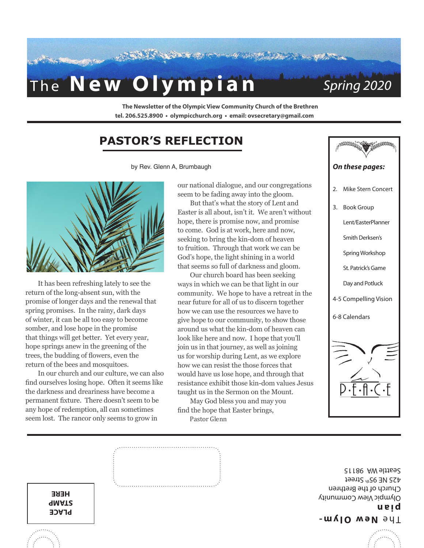

**The Newsletter of the Olympic View Community Church of the Brethren tel. 206.525.8900 • olympicchurch.org • email: ovsecretary@gmail.com**

### **PASTOR'S REFLECTION**

by Rev. Glenn A, Brumbaugh



It has been refreshing lately to see the return of the long-absent sun, with the promise of longer days and the renewal that spring promises. In the rainy, dark days of winter, it can be all too easy to become somber, and lose hope in the promise that things will get better. Yet every year, hope springs anew in the greening of the trees, the budding of flowers, even the return of the bees and mosquitoes.

In our church and our culture, we can also find ourselves losing hope. Often it seems like the darkness and dreariness have become a permanent fixture. There doesn't seem to be any hope of redemption, all can sometimes seem lost. The rancor only seems to grow in

our national dialogue, and our congregations seem to be fading away into the gloom.

But that's what the story of Lent and Easter is all about, isn't it. We aren't without hope, there is promise now, and promise to come. God is at work, here and now, seeking to bring the kin-dom of heaven to fruition. Through that work we can be God's hope, the light shining in a world that seems so full of darkness and gloom.

Our church board has been seeking ways in which we can be that light in our community. We hope to have a retreat in the near future for all of us to discern together how we can use the resources we have to give hope to our community, to show those around us what the kin-dom of heaven can look like here and now. I hope that you'll join us in that journey, as well as joining us for worship during Lent, as we explore how we can resist the those forces that would have us lose hope, and through that resistance exhibit those kin-dom values Jesus taught us in the Sermon on the Mount.

May God bless you and may you

find the hope that Easter brings,

Pastor Glenn



**- New Olym** The **pian** Olympic View Community Church of the Brethren 425 NE 95th Street

Seattle WA 98115

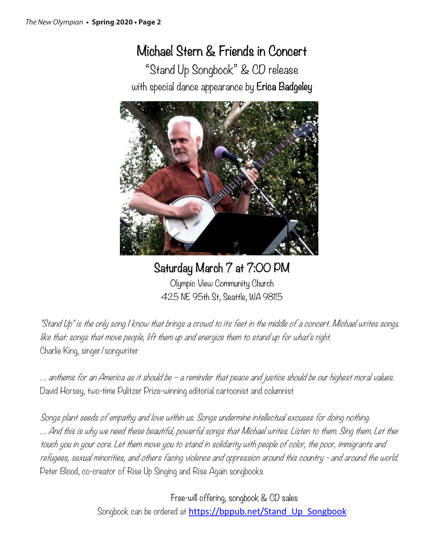## Michael Stern & Friends in Concert

"Stand Up Songbook" & CD release with special dance appearance by Erica Badgeley



## Saturday March 7 at 7:00 PM

Olympic View Community Church 425 NE 95th St, Seattle, WA 98115

"Stand Up" is the only song I know that brings a crowd to its feet in the middle of a concert. Michael writes songs like that: songs that move people, lift them up and energize them to stand up for what's right. Charlie King, singer/songwriter

… anthems for an America as it should be – a reminder that peace and justice should be our highest moral values. David Horsey, two-time Pulitzer Prize-winning editorial cartoonist and columnist

Songs plant seeds of empathy and love within us. Songs undermine intellectual excuses for doing nothing. … And this is why we need these beautiful, powerful songs that Michael writes. Listen to them. Sing them. Let ther touch you in your core. Let them move you to stand in solidarity with people of color, the poor, immigrants and refugees, sexual minorities, and others facing violence and oppression around this country - and around the world. Peter Blood, co-creator of Rise Up Singing and Rise Again songbooks

> Free-will offering, songbook & CD sales Songbook can be ordered at https://bppub.net/Stand Up Songbook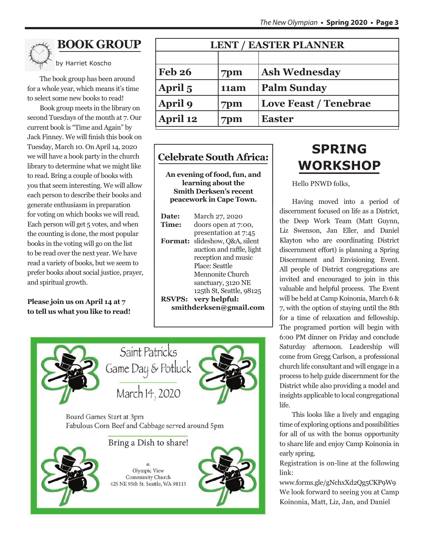

### **BOOK GROUP**

by Harriet Koscho

The book group has been around for a whole year, which means it's time to select some new books to read!

Book group meets in the library on second Tuesdays of the month at 7. Our current book is "Time and Again" by Jack Finney. We will finish this book on Tuesday, March 10. On April 14, 2020 we will have a book party in the church library to determine what we might like to read. Bring a couple of books with you that seem interesting. We will allow each person to describe their books and generate enthusiasm in preparation for voting on which books we will read. Each person will get 5 votes, and when the counting is done, the most popular books in the voting will go on the list to be read over the next year. We have read a variety of books, but we seem to prefer books about social justice, prayer, and spiritual growth.

**Please join us on April 14 at 7 to tell us what you like to read!**

| <b>LENT / EASTER PLANNER</b> |      |                              |  |  |  |
|------------------------------|------|------------------------------|--|--|--|
|                              |      |                              |  |  |  |
| <b>Feb 26</b>                | 7pm  | <b>Ash Wednesday</b>         |  |  |  |
| April 5                      | 11am | <b>Palm Sunday</b>           |  |  |  |
| April 9                      | 7pm  | <b>Love Feast / Tenebrae</b> |  |  |  |
| April 12                     | 7pm  | <b>Easter</b>                |  |  |  |

### **Celebrate South Africa:**

**An evening of food, fun, and learning about the Smith Derksen's recent peacework in Cape Town.** 

| Date:<br>Time:         | March 27, 2020<br>doors open at 7:00,                                       |  |  |  |  |
|------------------------|-----------------------------------------------------------------------------|--|--|--|--|
| <b>Format:</b>         | presentation at 7:45<br>slideshow, Q&A, silent<br>auction and raffle, light |  |  |  |  |
|                        | reception and music<br>Place: Seattle                                       |  |  |  |  |
|                        | Mennonite Church<br>sanctuary, 3120 NE                                      |  |  |  |  |
| <b>RSVPS:</b>          | 125th St, Seattle, 98125<br>very helpful:                                   |  |  |  |  |
| smithderksen@gmail.com |                                                                             |  |  |  |  |



## **SPRING WORKSHOP**

Hello PNWD folks,

Having moved into a period of discernment focused on life as a District, the Deep Work Team (Matt Guynn, Liz Swenson, Jan Eller, and Daniel Klayton who are coordinating District discernment effort) is planning a Spring Discernment and Envisioning Event. All people of District congregations are invited and encouraged to join in this valuable and helpful process. The Event will be held at Camp Koinonia, March 6 & 7, with the option of staying until the 8th for a time of relaxation and fellowship. The programed portion will begin with 6:00 PM dinner on Friday and conclude Saturday afternoon. Leadership will come from Gregg Carlson, a professional church life consultant and will engage in a process to help guide discernment for the District while also providing a model and insights applicable to local congregational life.

This looks like a lively and engaging time of exploring options and possibilities for all of us with the bonus opportunity to share life and enjoy Camp Koinonia in early spring.

Registration is on-line at the following link:

www.forms.gle/gNchxXd2Qg5CKP9W9 We look forward to seeing you at Camp Koinonia, Matt, Liz, Jan, and Daniel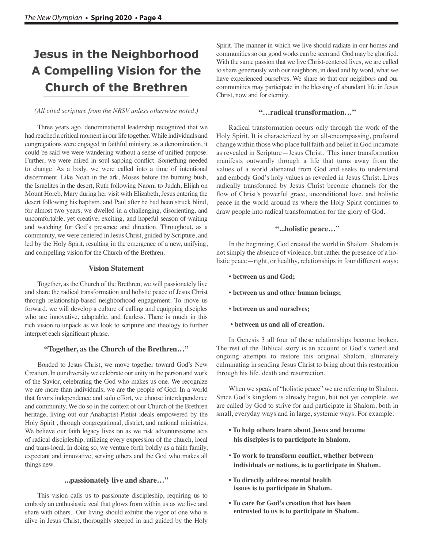## **Jesus in the Neighborhood A Compelling Vision for the Church of the Brethren**

#### *(All cited scripture from the NRSV unless otherwise noted.)*

Three years ago, denominational leadership recognized that we had reached a critical moment in our life together. While individuals and congregations were engaged in faithful ministry, as a denomination, it could be said we were wandering without a sense of unified purpose. Further, we were mired in soul-sapping conflict. Something needed to change. As a body, we were called into a time of intentional discernment. Like Noah in the ark, Moses before the burning bush, the Israelites in the desert, Ruth following Naomi to Judah, Elijah on Mount Horeb, Mary during her visit with Elizabeth, Jesus entering the desert following his baptism, and Paul after he had been struck blind, for almost two years, we dwelled in a challenging, disorienting, and uncomfortable, yet creative, exciting, and hopeful season of waiting and watching for God's presence and direction. Throughout, as a community, we were centered in Jesus Christ, guided by Scripture, and led by the Holy Spirit, resulting in the emergence of a new, unifying, and compelling vision for the Church of the Brethren.

### **Vision Statement**

Together, as the Church of the Brethren, we will passionately live and share the radical transformation and holistic peace of Jesus Christ through relationship-based neighborhood engagement. To move us forward, we will develop a culture of calling and equipping disciples who are innovative, adaptable, and fearless. There is much in this rich vision to unpack as we look to scripture and theology to further interpret each significant phrase.

#### **"Together, as the Church of the Brethren…"**

Bonded to Jesus Christ, we move together toward God's New Creation. In our diversity we celebrate our unity in the person and work of the Savior, celebrating the God who makes us one. We recognize we are more than individuals; we are the people of God. In a world that favors independence and solo effort, we choose interdependence and community. We do so in the context of our Church of the Brethren heritage, living out our Anabaptist-Pietist ideals empowered by the Holy Spirit , through congregational, district, and national ministries. We believe our faith legacy lives on as we risk adventuresome acts of radical discipleship, utilizing every expression of the church, local and trans-local. In doing so, we venture forth boldly as a faith family, expectant and innovative, serving others and the God who makes all things new.

#### **...passionately live and share…"**

This vision calls us to passionate discipleship, requiring us to embody an enthusiastic zeal that glows from within us as we live and share with others. Our living should exhibit the vigor of one who is alive in Jesus Christ, thoroughly steeped in and guided by the Holy

Spirit. The manner in which we live should radiate in our homes and communities so our good works can be seen and God may be glorified. With the same passion that we live Christ-centered lives, we are called to share generously with our neighbors, in deed and by word, what we have experienced ourselves. We share so that our neighbors and our communities may participate in the blessing of abundant life in Jesus Christ, now and for eternity.

#### **"…radical transformation…"**

Radical transformation occurs only through the work of the Holy Spirit. It is characterized by an all-encompassing, profound change within those who place full faith and belief in God incarnate as revealed in Scripture—Jesus Christ. This inner transformation manifests outwardly through a life that turns away from the values of a world alienated from God and seeks to understand and embody God's holy values as revealed in Jesus Christ. Lives radically transformed by Jesus Christ become channels for the flow of Christ's powerful grace, unconditional love, and holistic peace in the world around us where the Holy Spirit continues to draw people into radical transformation for the glory of God.

### **"...holistic peace…"**

In the beginning, God created the world in Shalom. Shalom is not simply the absence of violence, but rather the presence of a holistic peace—right, or healthy, relationships in four different ways:

- **between us and God;**
- **between us and other human beings;**
- **between us and ourselves;**
- **between us and all of creation.**

In Genesis 3 all four of these relationships become broken. The rest of the Biblical story is an account of God's varied and ongoing attempts to restore this original Shalom, ultimately culminating in sending Jesus Christ to bring about this restoration through his life, death and resurrection.

When we speak of "holistic peace" we are referring to Shalom. Since God's kingdom is already begun, but not yet complete, we are called by God to strive for and participate in Shalom, both in small, everyday ways and in large, systemic ways. For example:

- **To help others learn about Jesus and become his disciples is to participate in Shalom.**
- **To work to transform conflict, whether between individuals or nations, is to participate in Shalom.**
- **To directly address mental health issues is to participate in Shalom.**
- **To care for God's creation that has been entrusted to us is to participate in Shalom.**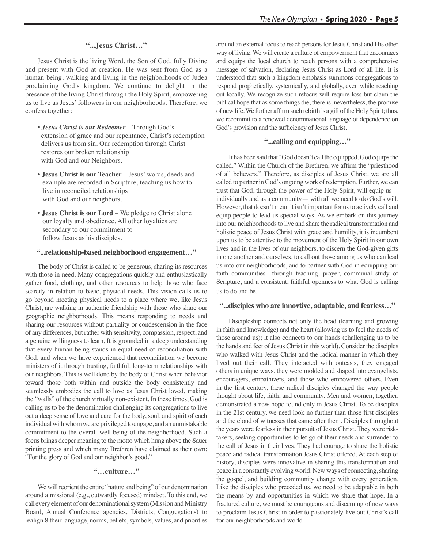#### **"...Jesus Christ…"**

Jesus Christ is the living Word, the Son of God, fully Divine and present with God at creation. He was sent from God as a human being, walking and living in the neighborhoods of Judea proclaiming God's kingdom. We continue to delight in the presence of the living Christ through the Holy Spirit, empowering us to live as Jesus' followers in our neighborhoods. Therefore, we confess together:

- *Jesus Christ is our Redeemer*  Through God's extension of grace and our repentance, Christ's redemption delivers us from sin. Our redemption through Christ restores our broken relationship with God and our Neighbors.
- **Jesus Christ is our Teacher** Jesus' words, deeds and example are recorded in Scripture, teaching us how to live in reconciled relationships with God and our neighbors.
- **Jesus Christ is our Lord**  We pledge to Christ alone our loyalty and obedience. All other loyalties are secondary to our commitment to follow Jesus as his disciples.

#### **"...relationship-based neighborhood engagement…"**

The body of Christ is called to be generous, sharing its resources with those in need. Many congregations quickly and enthusiastically gather food, clothing, and other resources to help those who face scarcity in relation to basic, physical needs. This vision calls us to go beyond meeting physical needs to a place where we, like Jesus Christ, are walking in authentic friendship with those who share our geographic neighborhoods. This means responding to needs and sharing our resources without partiality or condescension in the face of any differences, but rather with sensitivity, compassion, respect, and a genuine willingness to learn, It is grounded in a deep understanding that every human being stands in equal need of reconciliation with God, and when we have experienced that reconciliation we become ministers of it through trusting, faithful, long-term relationships with our neighbors. This is well done by the body of Christ when behavior toward those both within and outside the body consistently and seamlessly embodies the call to love as Jesus Christ loved, making the "walls" of the church virtually non-existent. In these times, God is calling us to be the denomination challenging its congregations to live out a deep sense of love and care for the body, soul, and spirit of each individual with whom we are privileged to engage, and an unmistakable commitment to the overall well-being of the neighborhood. Such a focus brings deeper meaning to the motto which hung above the Sauer printing press and which many Brethren have claimed as their own: "For the glory of God and our neighbor's good."

### **"…culture…"**

We will reorient the entire "nature and being" of our denomination around a missional (e.g., outwardly focused) mindset. To this end, we call every element of our denominational system (Mission and Ministry Board, Annual Conference agencies, Districts, Congregations) to realign 8 their language, norms, beliefs, symbols, values, and priorities around an external focus to reach persons for Jesus Christ and His other way of living. We will create a culture of empowerment that encourages and equips the local church to reach persons with a comprehensive message of salvation, declaring Jesus Christ as Lord of all life. It is understood that such a kingdom emphasis summons congregations to respond prophetically, systemically, and globally, even while reaching out locally. We recognize such refocus will require loss but claim the biblical hope that as some things die, there is, nevertheless, the promise of new life. We further affirm such rebirth is a gift of the Holy Spirit; thus, we recommit to a renewed denominational language of dependence on God's provision and the sufficiency of Jesus Christ.

### **"...calling and equipping…"**

It has been said that "God doesn't call the equipped. God equips the called." Within the Church of the Brethren, we affirm the "priesthood of all believers." Therefore, as disciples of Jesus Christ, we are all called to partner in God's ongoing work of redemption. Further, we can trust that God, through the power of the Holy Spirit, will equip us individually and as a community— with all we need to do God's will. However, that doesn't mean it isn't important for us to actively call and equip people to lead us special ways. As we embark on this journey into our neighborhoods to live and share the radical transformation and holistic peace of Jesus Christ with grace and humility, it is incumbent upon us to be attentive to the movement of the Holy Spirit in our own lives and in the lives of our neighbors, to discern the God-given gifts in one another and ourselves, to call out those among us who can lead us into our neighborhoods, and to partner with God in equipping our faith communities—through teaching, prayer, communal study of Scripture, and a consistent, faithful openness to what God is calling us to do and be.

#### **"...disciples who are innovtive, adaptable, and fearless…"**

Discipleship connects not only the head (learning and growing in faith and knowledge) and the heart (allowing us to feel the needs of those around us); it also connects to our hands (challenging us to be the hands and feet of Jesus Christ in this world). Consider the disciples who walked with Jesus Christ and the radical manner in which they lived out their call. They interacted with outcasts, they engaged others in unique ways, they were molded and shaped into evangelists, encouragers, empathizers, and those who empowered others. Even in the first century, these radical disciples changed the way people thought about life, faith, and community. Men and women, together, demonstrated a new hope found only in Jesus Christ. To be disciples in the 21st century, we need look no further than those first disciples and the cloud of witnesses that came after them. Disciples throughout the years were fearless in their pursuit of Jesus Christ. They were risktakers, seeking opportunities to let go of their needs and surrender to the call of Jesus in their lives. They had courage to share the holistic peace and radical transformation Jesus Christ offered. At each step of history, disciples were innovative in sharing this transformation and peace in a constantly evolving world. New ways of connecting, sharing the gospel, and building community change with every generation. Like the disciples who preceded us, we need to be adaptable in both the means by and opportunities in which we share that hope. In a fractured culture, we must be courageous and discerning of new ways to proclaim Jesus Christ in order to passionately live out Christ's call for our neighborhoods and world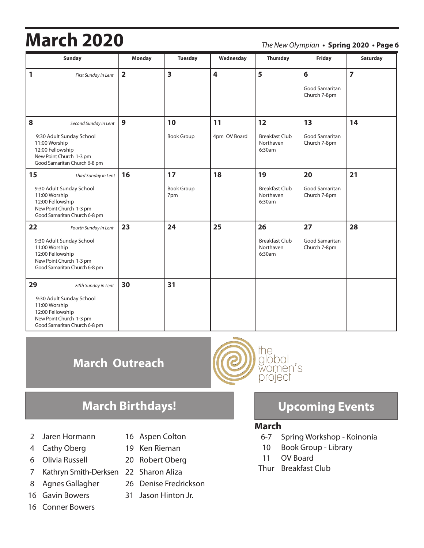# **March 2020** *The New Olympian* **• Spring 2020 • Page 6**

| <b>Sunday</b>                                                                                                                                           | <b>Monday</b>  | <b>Tuesday</b>                 | Wednesday          | Thursday                                           | <b>Friday</b>                                    | Saturday       |
|---------------------------------------------------------------------------------------------------------------------------------------------------------|----------------|--------------------------------|--------------------|----------------------------------------------------|--------------------------------------------------|----------------|
| $\mathbf{1}$<br>First Sunday in Lent                                                                                                                    | $\overline{2}$ | $\overline{\mathbf{3}}$        | 4                  | 5                                                  | $6\phantom{a}$<br>Good Samaritan<br>Church 7-8pm | $\overline{7}$ |
| 8<br>Second Sunday in Lent<br>9:30 Adult Sunday School<br>11:00 Worship<br>12:00 Fellowship<br>New Point Church 1-3 pm<br>Good Samaritan Church 6-8 pm  | $\mathbf{9}$   | 10<br><b>Book Group</b>        | 11<br>4pm OV Board | 12<br><b>Breakfast Club</b><br>Northaven<br>6:30am | 13<br>Good Samaritan<br>Church 7-8pm             | 14             |
| 15<br>Third Sunday in Lent<br>9:30 Adult Sunday School<br>11:00 Worship<br>12:00 Fellowship<br>New Point Church 1-3 pm<br>Good Samaritan Church 6-8 pm  | 16             | 17<br><b>Book Group</b><br>7pm | 18                 | 19<br><b>Breakfast Club</b><br>Northaven<br>6:30am | 20<br>Good Samaritan<br>Church 7-8pm             | 21             |
| 22<br>Fourth Sunday in Lent<br>9:30 Adult Sunday School<br>11:00 Worship<br>12:00 Fellowship<br>New Point Church 1-3 pm<br>Good Samaritan Church 6-8 pm | 23             | 24                             | 25                 | 26<br><b>Breakfast Club</b><br>Northaven<br>6:30am | 27<br>Good Samaritan<br>Church 7-8pm             | 28             |
| 29<br>Fifth Sunday in Lent<br>9:30 Adult Sunday School<br>11:00 Worship<br>12:00 Fellowship<br>New Point Church 1-3 pm<br>Good Samaritan Church 6-8 pm  | 30             | 31                             |                    |                                                    |                                                  |                |

## **March Outreach**

- 2 Jaren Hormann 16 Aspen Colton
- 
- 
- 7 Kathryn Smith-Derksen 22 Sharon Aliza
- 
- 
- 16 Conner Bowers
- 
- 4 Cathy Oberg 19 Ken Rieman
- 6 Olivia Russell 20 Robert Oberg
	-
- 8 Agnes Gallagher 26 Denise Fredrickson
- 16 Gavin Bowers 31 Jason Hinton Jr.



### **March Birthdays! Upcoming Events**

### **March**

- 6-7 Spring Workshop Koinonia
- 10 Book Group Library
- 11 OV Board
- Thur Breakfast Club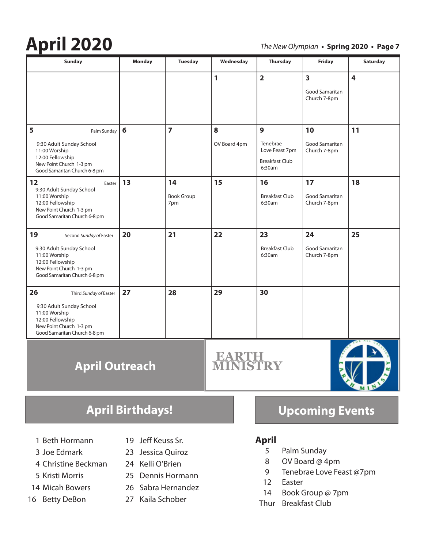# **April 2020** *The New Olympian* **• Spring 2020 • Page 7**

| <b>Sunday</b>                                                                                                                                             | Monday | <b>Tuesday</b>                 | Wednesday         | <b>Thursday</b>                                                    | Friday                                                    | Saturday                |
|-----------------------------------------------------------------------------------------------------------------------------------------------------------|--------|--------------------------------|-------------------|--------------------------------------------------------------------|-----------------------------------------------------------|-------------------------|
|                                                                                                                                                           |        |                                | 1                 | $\overline{2}$                                                     | $\overline{\mathbf{3}}$<br>Good Samaritan<br>Church 7-8pm | $\overline{\mathbf{4}}$ |
| 5<br>Palm Sunday<br>9:30 Adult Sunday School<br>11:00 Worship<br>12:00 Fellowship<br>New Point Church 1-3 pm<br>Good Samaritan Church 6-8 pm              | 6      | $\overline{7}$                 | 8<br>OV Board 4pm | 9<br>Tenebrae<br>Love Feast 7pm<br><b>Breakfast Club</b><br>6:30am | 10<br><b>Good Samaritan</b><br>Church 7-8pm               | 11                      |
| 12<br>Easter<br>9:30 Adult Sunday School<br>11:00 Worship<br>12:00 Fellowship<br>New Point Church 1-3 pm<br>Good Samaritan Church 6-8 pm                  | 13     | 14<br><b>Book Group</b><br>7pm | 15                | 16<br><b>Breakfast Club</b><br>6:30am                              | 17<br>Good Samaritan<br>Church 7-8pm                      | 18                      |
| 19<br>Second Sunday of Easter<br>9:30 Adult Sunday School<br>11:00 Worship<br>12:00 Fellowship<br>New Point Church 1-3 pm<br>Good Samaritan Church 6-8 pm | 20     | 21                             | 22                | 23<br><b>Breakfast Club</b><br>6:30am                              | 24<br>Good Samaritan<br>Church 7-8pm                      | 25                      |
| 26<br>Third Sunday of Easter<br>9:30 Adult Sunday School<br>11:00 Worship<br>12:00 Fellowship<br>New Point Church 1-3 pm<br>Good Samaritan Church 6-8 pm  | 27     | 28                             | 29                | 30                                                                 |                                                           |                         |
| <b>April Outreach</b>                                                                                                                                     |        |                                |                   |                                                                    |                                                           |                         |

- 1 Beth Hormann 19 Jeff Keuss Sr.
- 
- 4 Christine Beckman 24 Kelli O'Brien
- 
- 
- 
- 
- 3 Joe Edmark 23 Jessica Quiroz
	-
- 5 Kristi Morris 25 Dennis Hormann
- 14 Micah Bowers 26 Sabra Hernandez
- 16 Betty DeBon 27 Kaila Schober

### **April Birthdays! Upcoming Events**

**ALL AND** 

- **April**
	- 5 Palm Sunday
	- 8 OV Board @ 4pm
	- 9 Tenebrae Love Feast @7pm
	- 12 Easter
	- 14 Book Group @ 7pm
- Thur Breakfast Club